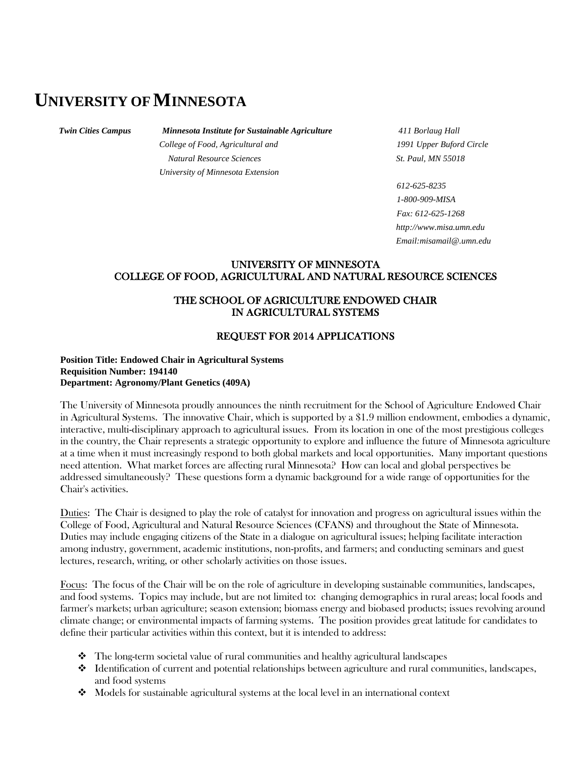# **UNIVERSITY OFMINNESOTA**

### *Twin Cities Campus Minnesota Institute for Sustainable Agriculture 411 Borlaug Hall*

*College of Food, Agricultural and 1991 Upper Buford Circle Natural Resource Sciences St. Paul, MN 55018 University of Minnesota Extension*

*612-625-8235 1-800-909-MISA Fax: 612-625-1268 http://www.misa.umn.edu Email:misamail@.umn.edu*

## UNIVERSITY OF MINNESOTA COLLEGE OF FOOD, AGRICULTURAL AND NATURAL RESOURCE SCIENCES

# THE SCHOOL OF AGRICULTURE ENDOWED CHAIR IN AGRICULTURAL SYSTEMS

## REQUEST FOR 2014 APPLICATIONS

### **Position Title: Endowed Chair in Agricultural Systems Requisition Number: 194140 Department: Agronomy/Plant Genetics (409A)**

The University of Minnesota proudly announces the ninth recruitment for the School of Agriculture Endowed Chair in Agricultural Systems. The innovative Chair, which is supported by a \$1.9 million endowment, embodies a dynamic, interactive, multi-disciplinary approach to agricultural issues. From its location in one of the most prestigious colleges in the country, the Chair represents a strategic opportunity to explore and influence the future of Minnesota agriculture at a time when it must increasingly respond to both global markets and local opportunities. Many important questions need attention. What market forces are affecting rural Minnesota? How can local and global perspectives be addressed simultaneously? These questions form a dynamic background for a wide range of opportunities for the Chair's activities.

Duties: The Chair is designed to play the role of catalyst for innovation and progress on agricultural issues within the College of Food, Agricultural and Natural Resource Sciences (CFANS) and throughout the State of Minnesota. Duties may include engaging citizens of the State in a dialogue on agricultural issues; helping facilitate interaction among industry, government, academic institutions, non-profits, and farmers; and conducting seminars and guest lectures, research, writing, or other scholarly activities on those issues.

Focus: The focus of the Chair will be on the role of agriculture in developing sustainable communities, landscapes, and food systems. Topics may include, but are not limited to: changing demographics in rural areas; local foods and farmer's markets; urban agriculture; season extension; biomass energy and biobased products; issues revolving around climate change; or environmental impacts of farming systems. The position provides great latitude for candidates to define their particular activities within this context, but it is intended to address:

- $\triangle$  The long-term societal value of rural communities and healthy agricultural landscapes
- Identification of current and potential relationships between agriculture and rural communities, landscapes, and food systems
- $\bullet$  Models for sustainable agricultural systems at the local level in an international context